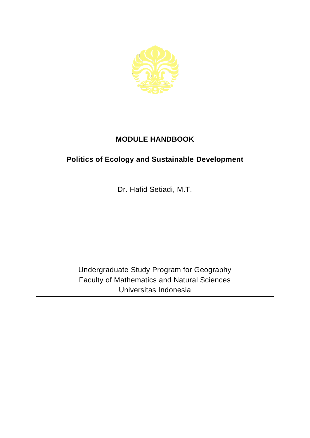

## **MODULE HANDBOOK**

## **Politics of Ecology and Sustainable Development**

Dr. Hafid Setiadi, M.T.

Undergraduate Study Program for Geography Faculty of Mathematics and Natural Sciences Universitas Indonesia